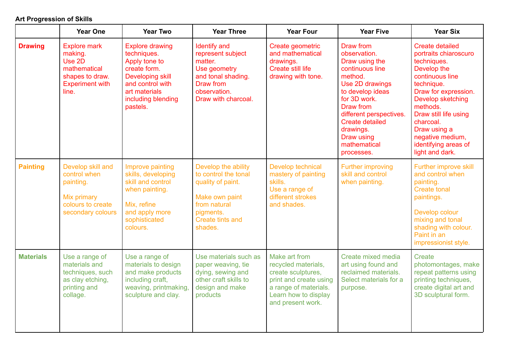## **Art Progression of Skills**

|                  | <b>Year One</b>                                                                                                | <b>Year Two</b>                                                                                                                                                          | <b>Year Three</b>                                                                                                                              | <b>Year Four</b>                                                                                                                                           | <b>Year Five</b>                                                                                                                                                                                                                                            | <b>Year Six</b>                                                                                                                                                                                                                                                                              |
|------------------|----------------------------------------------------------------------------------------------------------------|--------------------------------------------------------------------------------------------------------------------------------------------------------------------------|------------------------------------------------------------------------------------------------------------------------------------------------|------------------------------------------------------------------------------------------------------------------------------------------------------------|-------------------------------------------------------------------------------------------------------------------------------------------------------------------------------------------------------------------------------------------------------------|----------------------------------------------------------------------------------------------------------------------------------------------------------------------------------------------------------------------------------------------------------------------------------------------|
| <b>Drawing</b>   | <b>Explore mark</b><br>making.<br>Use 2D<br>mathematical<br>shapes to draw.<br><b>Experiment with</b><br>line. | <b>Explore drawing</b><br>techniques.<br>Apply tone to<br>create form.<br><b>Developing skill</b><br>and control with<br>art materials<br>including blending<br>pastels. | <b>Identify and</b><br>represent subject<br>matter.<br>Use geometry<br>and tonal shading.<br>Draw from<br>observation.<br>Draw with charcoal.  | Create geometric<br>and mathematical<br>drawings.<br><b>Create still life</b><br>drawing with tone.                                                        | Draw from<br>observation.<br>Draw using the<br>continuous line<br>method.<br>Use 2D drawings<br>to develop ideas<br>for 3D work.<br>Draw from<br>different perspectives.<br><b>Create detailed</b><br>drawings.<br>Draw using<br>mathematical<br>processes. | <b>Create detailed</b><br>portraits chiaroscuro<br>techniques.<br>Develop the<br>continuous line<br>technique.<br>Draw for expression.<br>Develop sketching<br>methods.<br>Draw still life using<br>charcoal.<br>Draw using a<br>negative medium,<br>identifying areas of<br>light and dark. |
| <b>Painting</b>  | Develop skill and<br>control when<br>painting.<br>Mix primary<br>colours to create<br>secondary colours        | Improve painting<br>skills, developing<br>skill and control<br>when painting.<br>Mix, refine<br>and apply more<br>sophisticated<br>colours.                              | Develop the ability<br>to control the tonal<br>quality of paint.<br>Make own paint<br>from natural<br>pigments.<br>Create tints and<br>shades. | Develop technical<br>mastery of painting<br>skills.<br>Use a range of<br>different strokes<br>and shades.                                                  | <b>Further improving</b><br>skill and control<br>when painting.                                                                                                                                                                                             | Further improve skill<br>and control when<br>painting.<br><b>Create tonal</b><br>paintings.<br>Develop colour<br>mixing and tonal<br>shading with colour.<br>Paint in an<br>impressionist style.                                                                                             |
| <b>Materials</b> | Use a range of<br>materials and<br>techniques, such<br>as clay etching,<br>printing and<br>collage.            | Use a range of<br>materials to design<br>and make products<br>including craft,<br>weaving, printmaking,<br>sculpture and clay.                                           | Use materials such as<br>paper weaving, tie<br>dying, sewing and<br>other craft skills to<br>design and make<br>products                       | Make art from<br>recycled materials,<br>create sculptures,<br>print and create using<br>a range of materials.<br>Learn how to display<br>and present work. | Create mixed media<br>art using found and<br>reclaimed materials.<br>Select materials for a<br>purpose.                                                                                                                                                     | Create<br>photomontages, make<br>repeat patterns using<br>printing techniques,<br>create digital art and<br>3D sculptural form.                                                                                                                                                              |